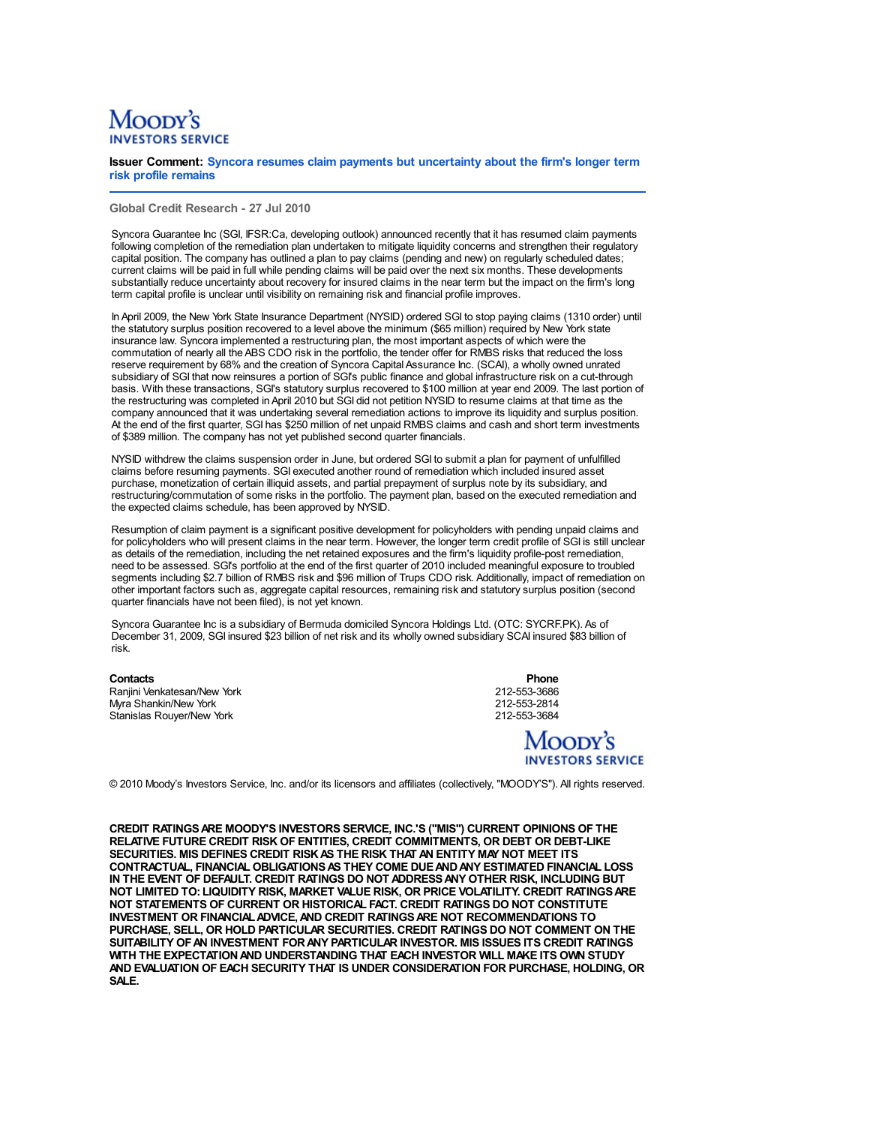## Moopy's

**Issuer Comment: Syncora resumes claim payments but uncertainty about the firm's longer term risk profile remains**

**Global Credit Research - 27 Jul 2010**

Syncora Guarantee Inc (SGI, IFSR:Ca, developing outlook) announced recently that it has resumed claim payments following completion of the remediation plan undertaken to mitigate liquidity concerns and strengthen their regulatory capital position. The company has outlined a plan to pay claims (pending and new) on regularly scheduled dates; current claims will be paid in full while pending claims will be paid over the next six months. These developments substantially reduce uncertainty about recovery for insured claims in the near term but the impact on the firm's long term capital profile is unclear until visibility on remaining risk and financial profile improves.

In April 2009, the New York State Insurance Department (NYSID) ordered SGI to stop paying claims (1310 order) until the statutory surplus position recovered to a level above the minimum (\$65 million) required by New York state insurance law. Syncora implemented a restructuring plan, the most important aspects of which were the commutation of nearly all the ABS CDO risk in the portfolio, the tender offer for RMBS risks that reduced the loss reserve requirement by 68% and the creation of Syncora Capital Assurance Inc. (SCAI), a wholly owned unrated subsidiary of SGI that now reinsures a portion of SGI's public finance and global infrastructure risk on a cut-through basis. With these transactions, SGI's statutory surplus recovered to \$100 million at year end 2009. The last portion of the restructuring was completed in April 2010 but SGI did not petition NYSID to resume claims at that time as the company announced that it was undertaking several remediation actions to improve its liquidity and surplus position. At the end of the first quarter, SGI has \$250 million of net unpaid RMBS claims and cash and short term investments of \$389 million. The company has not yet published second quarter financials.

NYSID withdrew the claims suspension order in June, but ordered SGI to submit a plan for payment of unfulfilled claims before resuming payments. SGI executed another round of remediation which included insured asset purchase, monetization of certain illiquid assets, and partial prepayment of surplus note by its subsidiary, and restructuring/commutation of some risks in the portfolio. The payment plan, based on the executed remediation and the expected claims schedule, has been approved by NYSID.

Resumption of claim payment is a significant positive development for policyholders with pending unpaid claims and for policyholders who will present claims in the near term. However, the longer term credit profile of SGI is still unclear as details of the remediation, including the net retained exposures and the firm's liquidity profile-post remediation, need to be assessed. SGI's portfolio at the end of the first quarter of 2010 included meaningful exposure to troubled segments including \$2.7 billion of RMBS risk and \$96 million of Trups CDO risk. Additionally, impact of remediation on other important factors such as, aggregate capital resources, remaining risk and statutory surplus position (second quarter financials have not been filed), is not yet known.

Syncora Guarantee Inc is a subsidiary of Bermuda domiciled Syncora Holdings Ltd. (OTC: SYCRF.PK). As of December 31, 2009, SGI insured \$23 billion of net risk and its wholly owned subsidiary SCAI insured \$83 billion of risk.

Ranjini Venkatesan/New York 212-553-3686 Myra Shankin/New York 2012-06: 2012-553-2814<br>Stanislas Rouver/New York 2012-06: 2012-06: 212-553-3684 Stanislas Rouyer/New York

**Contacts Phone** 

## Moody's **INVESTORS SERVICE**

© 2010 Moody's Investors Service, Inc. and/or its licensors and affiliates (collectively, "MOODY'S"). All rights reserved.

**CREDIT RATINGSARE MOODY'S INVESTORS SERVICE, INC.'S ("MIS") CURRENT OPINIONS OF THE RELATIVE FUTURE CREDIT RISK OF ENTITIES, CREDIT COMMITMENTS, OR DEBT OR DEBT-LIKE SECURITIES. MIS DEFINES CREDIT RISKAS THE RISK THAT AN ENTITY MAY NOT MEET ITS CONTRACTUAL, FINANCIAL OBLIGATIONSAS THEY COME DUEANDANY ESTIMATED FINANCIAL LOSS IN THE EVENT OF DEFAULT. CREDIT RATINGS DO NOT ADDRESSANY OTHER RISK, INCLUDING BUT NOT LIMITED TO: LIQUIDITY RISK, MARKET VALUE RISK, OR PRICE VOLATILITY. CREDIT RATINGSARE NOT STATEMENTS OF CURRENT OR HISTORICAL FACT. CREDIT RATINGS DO NOT CONSTITUTE INVESTMENT OR FINANCIALADVICE,AND CREDIT RATINGSARE NOT RECOMMENDATIONS TO PURCHASE, SELL, OR HOLD PARTICULAR SECURITIES. CREDIT RATINGS DO NOT COMMENT ON THE SUITABILITY OFAN INVESTMENT FORANY PARTICULAR INVESTOR. MIS ISSUES ITS CREDIT RATINGS WITH THE EXPECTATIONAND UNDERSTANDING THAT EACH INVESTOR WILL MAKE ITS OWN STUDY AND EVALUATION OF EACH SECURITY THAT IS UNDER CONSIDERATION FOR PURCHASE, HOLDING, OR SALE.**